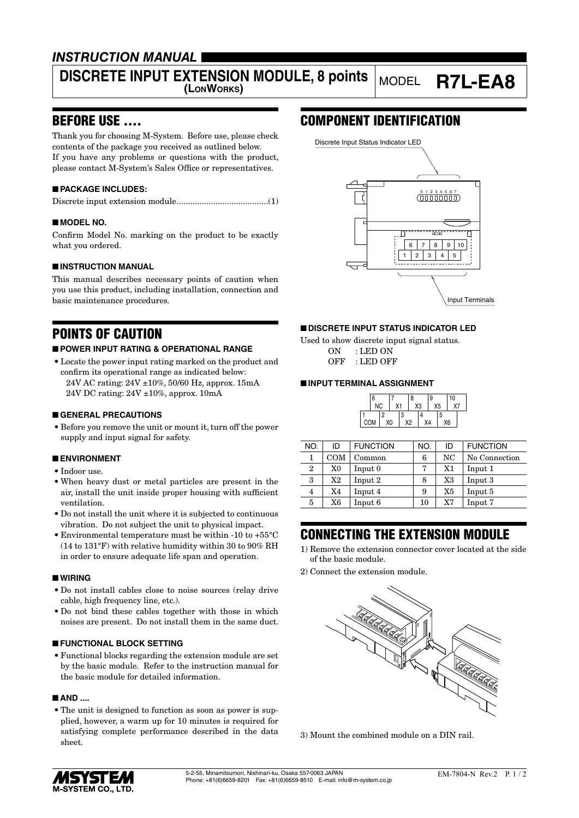## *INSTRUCTION MANUAL*

# **DISCRETE INPUT EXTENSION MODULE, 8 points** MODEL **R7L-EA8**

## BEFORE USE ....

Thank you for choosing M-System. Before use, please check contents of the package you received as outlined below. If you have any problems or questions with the product, please contact M-System's Sales Office or representatives.

### ■ **PACKAGE INCLUDES:**

|--|--|--|--|--|

#### ■ **MODEL NO.**

Confirm Model No. marking on the product to be exactly what you ordered.

#### ■ **INSTRUCTION MANUAL**

This manual describes necessary points of caution when you use this product, including installation, connection and basic maintenance procedures.

## POINTS OF CAUTION

#### ■ **POWER INPUT RATING & OPERATIONAL RANGE**

• Locate the power input rating marked on the product and confirm its operational range as indicated below: 24V AC rating: 24V ±10%, 50/60 Hz, approx. 15mA 24V DC rating: 24V ±10%, approx. 10mA

#### ■ **GENERAL PRECAUTIONS**

• Before you remove the unit or mount it, turn off the power supply and input signal for safety.

#### ■ **ENVIRONMENT**

- Indoor use.
- When heavy dust or metal particles are present in the air, install the unit inside proper housing with sufficient ventilation.
- Do not install the unit where it is subjected to continuous vibration. Do not subject the unit to physical impact.
- Environmental temperature must be within -10 to +55°C (14 to 131°F) with relative humidity within 30 to 90% RH in order to ensure adequate life span and operation.

#### ■ **WIRING**

- Do not install cables close to noise sources (relay drive cable, high frequency line, etc.).
- Do not bind these cables together with those in which noises are present. Do not install them in the same duct.

#### ■ **FUNCTIONAL BLOCK SETTING**

• Functional blocks regarding the extension module are set by the basic module. Refer to the instruction manual for the basic module for detailed information.

#### ■ **AND** ....

• The unit is designed to function as soon as power is supplied, however, a warm up for 10 minutes is required for satisfying complete performance described in the data sheet.

## COMPONENT IDENTIFICATION



#### ■ **DISCRETE INPUT STATUS INDICATOR LED**

Used to show discrete input signal status.

ON : LED ON OFF : LED OFF

#### ■ **INPUT TERMINAL ASSIGNMENT**

| 6         |  |   |    | 8  |    | 9  |  | 10 |    |  |
|-----------|--|---|----|----|----|----|--|----|----|--|
| <b>NC</b> |  |   |    | X3 |    | X5 |  | Χ7 |    |  |
| COM       |  | ∘ | X0 | 3  | X2 | X4 |  | 5  | X6 |  |

| NO.          | ID             | <b>FUNCTION</b> | NO. | ID | <b>FUNCTION</b> |
|--------------|----------------|-----------------|-----|----|-----------------|
|              | <b>COM</b>     | Common          | 6   | NC | No Connection   |
| $\mathbf{2}$ | X <sub>0</sub> | Input 0         | 7   | X1 | Input 1         |
| 3            | X2             | Input 2         | 8   | X3 | Input 3         |
| 4            | X4             | Input 4         | 9   | X5 | Input 5         |
| 5            | X6             | Input 6         | 10  | X7 | Input 7         |
|              |                |                 |     |    |                 |

## CONNECTING THE EXTENSION MODULE

- 1) Remove the extension connector cover located at the side of the basic module.
- 2) Connect the extension module.



3) Mount the combined module on a DIN rail.